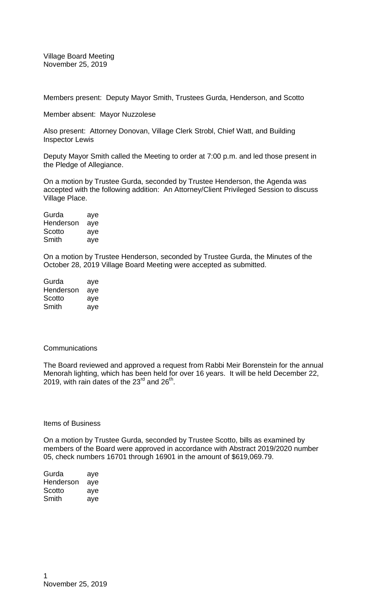Village Board Meeting November 25, 2019

Members present: Deputy Mayor Smith, Trustees Gurda, Henderson, and Scotto

Member absent: Mayor Nuzzolese

Also present: Attorney Donovan, Village Clerk Strobl, Chief Watt, and Building Inspector Lewis

Deputy Mayor Smith called the Meeting to order at 7:00 p.m. and led those present in the Pledge of Allegiance.

On a motion by Trustee Gurda, seconded by Trustee Henderson, the Agenda was accepted with the following addition: An Attorney/Client Privileged Session to discuss Village Place.

| Gurda     | aye |
|-----------|-----|
| Henderson | aye |
| Scotto    | aye |
| Smith     | ave |

On a motion by Trustee Henderson, seconded by Trustee Gurda, the Minutes of the October 28, 2019 Village Board Meeting were accepted as submitted.

| Gurda     | aye |
|-----------|-----|
| Henderson | aye |
| Scotto    | aye |
| Smith     | aye |

## **Communications**

The Board reviewed and approved a request from Rabbi Meir Borenstein for the annual Menorah lighting, which has been held for over 16 years. It will be held December 22, 2019, with rain dates of the  $23<sup>rd</sup>$  and  $26<sup>th</sup>$ .

Items of Business

On a motion by Trustee Gurda, seconded by Trustee Scotto, bills as examined by members of the Board were approved in accordance with Abstract 2019/2020 number 05, check numbers 16701 through 16901 in the amount of \$619,069.79.

| Gurda     | aye |
|-----------|-----|
| Henderson | aye |
| Scotto    | aye |
| Smith     | aye |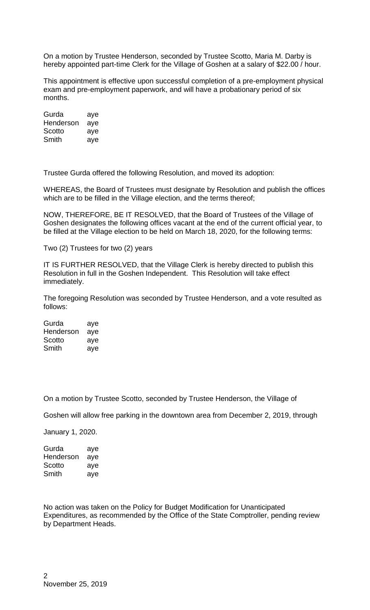On a motion by Trustee Henderson, seconded by Trustee Scotto, Maria M. Darby is hereby appointed part-time Clerk for the Village of Goshen at a salary of \$22.00 / hour.

This appointment is effective upon successful completion of a pre-employment physical exam and pre-employment paperwork, and will have a probationary period of six months.

| Gurda     | aye |
|-----------|-----|
| Henderson | aye |
| Scotto    | aye |
| Smith     | aye |

Trustee Gurda offered the following Resolution, and moved its adoption:

WHEREAS, the Board of Trustees must designate by Resolution and publish the offices which are to be filled in the Village election, and the terms thereof;

NOW, THEREFORE, BE IT RESOLVED, that the Board of Trustees of the Village of Goshen designates the following offices vacant at the end of the current official year, to be filled at the Village election to be held on March 18, 2020, for the following terms:

Two (2) Trustees for two (2) years

IT IS FURTHER RESOLVED, that the Village Clerk is hereby directed to publish this Resolution in full in the Goshen Independent. This Resolution will take effect immediately.

The foregoing Resolution was seconded by Trustee Henderson, and a vote resulted as follows:

| Gurda     | aye |
|-----------|-----|
| Henderson | aye |
| Scotto    | aye |
| Smith     | aye |

On a motion by Trustee Scotto, seconded by Trustee Henderson, the Village of

Goshen will allow free parking in the downtown area from December 2, 2019, through

January 1, 2020.

Gurda aye Henderson aye Scotto aye Smith aye

No action was taken on the Policy for Budget Modification for Unanticipated Expenditures, as recommended by the Office of the State Comptroller, pending review by Department Heads.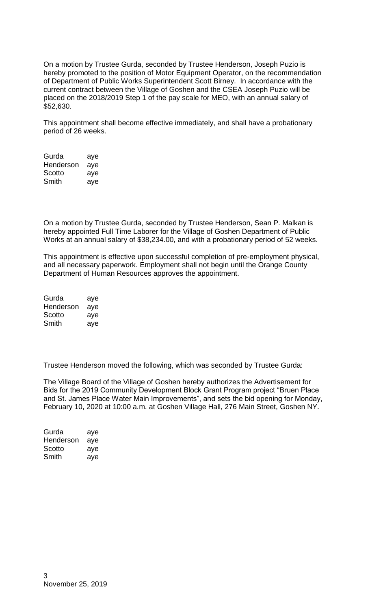On a motion by Trustee Gurda, seconded by Trustee Henderson, Joseph Puzio is hereby promoted to the position of Motor Equipment Operator, on the recommendation of Department of Public Works Superintendent Scott Birney. In accordance with the current contract between the Village of Goshen and the CSEA Joseph Puzio will be placed on the 2018/2019 Step 1 of the pay scale for MEO, with an annual salary of \$52,630.

This appointment shall become effective immediately, and shall have a probationary period of 26 weeks.

| Gurda     | aye |
|-----------|-----|
| Henderson | aye |
| Scotto    | aye |
| Smith     | aye |

On a motion by Trustee Gurda, seconded by Trustee Henderson, Sean P. Malkan is hereby appointed Full Time Laborer for the Village of Goshen Department of Public Works at an annual salary of \$38,234.00, and with a probationary period of 52 weeks.

This appointment is effective upon successful completion of pre-employment physical, and all necessary paperwork. Employment shall not begin until the Orange County Department of Human Resources approves the appointment.

| Gurda     | aye |
|-----------|-----|
| Henderson | aye |
| Scotto    | aye |
| Smith     | aye |

Trustee Henderson moved the following, which was seconded by Trustee Gurda:

The Village Board of the Village of Goshen hereby authorizes the Advertisement for Bids for the 2019 Community Development Block Grant Program project "Bruen Place and St. James Place Water Main Improvements", and sets the bid opening for Monday, February 10, 2020 at 10:00 a.m. at Goshen Village Hall, 276 Main Street, Goshen NY.

| Gurda     | aye |
|-----------|-----|
| Henderson | aye |
| Scotto    | aye |
| Smith     | aye |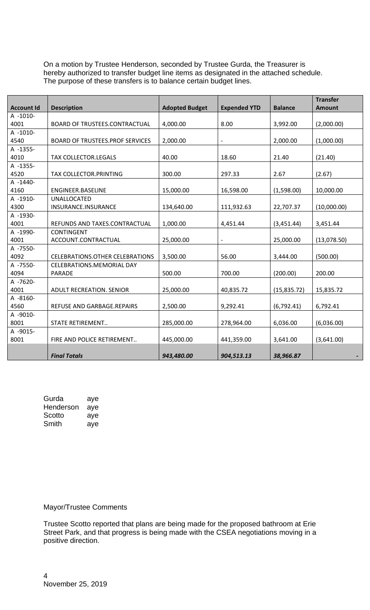On a motion by Trustee Henderson, seconded by Trustee Gurda, the Treasurer is hereby authorized to transfer budget line items as designated in the attached schedule. The purpose of these transfers is to balance certain budget lines.

| <b>Account Id</b> | <b>Description</b>                         | <b>Adopted Budget</b> | <b>Expended YTD</b>      | <b>Balance</b> | <b>Transfer</b><br><b>Amount</b> |
|-------------------|--------------------------------------------|-----------------------|--------------------------|----------------|----------------------------------|
| A -1010-          |                                            |                       |                          |                |                                  |
| 4001              | <b>BOARD OF TRUSTEES.CONTRACTUAL</b>       | 4,000.00              | 8.00                     | 3,992.00       | (2,000.00)                       |
| A -1010-          |                                            |                       |                          |                |                                  |
| 4540              | <b>BOARD OF TRUSTEES.PROF SERVICES</b>     | 2,000.00              | $\overline{\phantom{a}}$ | 2,000.00       | (1,000.00)                       |
| A -1355-          |                                            |                       |                          |                |                                  |
| 4010              | TAX COLLECTOR.LEGALS                       | 40.00                 | 18.60                    | 21.40          | (21.40)                          |
| A -1355-          |                                            |                       |                          |                |                                  |
| 4520              | TAX COLLECTOR.PRINTING                     | 300.00                | 297.33                   | 2.67           | (2.67)                           |
| A -1440-          |                                            |                       |                          |                |                                  |
| 4160              | <b>ENGINEER.BASELINE</b>                   | 15,000.00             | 16,598.00                | (1,598.00)     | 10,000.00                        |
| A -1910-          | <b>UNALLOCATED</b>                         |                       |                          |                |                                  |
| 4300              | INSURANCE.INSURANCE                        | 134,640.00            | 111,932.63               | 22,707.37      | (10,000.00)                      |
| A -1930-          |                                            |                       |                          |                |                                  |
| 4001              | REFUNDS AND TAXES.CONTRACTUAL              | 1,000.00              | 4,451.44                 | (3,451.44)     | 3,451.44                         |
| A -1990-          | <b>CONTINGENT</b>                          |                       |                          |                |                                  |
| 4001              | ACCOUNT.CONTRACTUAL                        | 25,000.00             |                          | 25,000.00      | (13,078.50)                      |
| A -7550-<br>4092  |                                            |                       |                          |                |                                  |
|                   | <b>CELEBRATIONS.OTHER CELEBRATIONS</b>     | 3,500.00              | 56.00                    | 3,444.00       | (500.00)                         |
| A -7550-<br>4094  | <b>CELEBRATIONS.MEMORIAL DAY</b><br>PARADE | 500.00                | 700.00                   | (200.00)       | 200.00                           |
| A -7620-          |                                            |                       |                          |                |                                  |
| 4001              | <b>ADULT RECREATION. SENIOR</b>            | 25,000.00             | 40,835.72                | (15, 835.72)   | 15,835.72                        |
| A -8160-          |                                            |                       |                          |                |                                  |
| 4560              | REFUSE AND GARBAGE.REPAIRS                 | 2,500.00              | 9,292.41                 | (6,792.41)     | 6,792.41                         |
| A -9010-          |                                            |                       |                          |                |                                  |
| 8001              | STATE RETIREMENT                           | 285,000.00            | 278,964.00               | 6,036.00       | (6,036.00)                       |
| A -9015-          |                                            |                       |                          |                |                                  |
| 8001              | FIRE AND POLICE RETIREMENT                 | 445,000.00            | 441,359.00               | 3,641.00       | (3,641.00)                       |
|                   |                                            |                       |                          |                |                                  |
|                   | <b>Final Totals</b>                        | 943,480.00            | 904,513.13               | 38,966.87      |                                  |

| Gurda     | aye |
|-----------|-----|
| Henderson | aye |
| Scotto    | aye |
| Smith     | aye |

## Mayor/Trustee Comments

Trustee Scotto reported that plans are being made for the proposed bathroom at Erie Street Park, and that progress is being made with the CSEA negotiations moving in a positive direction.